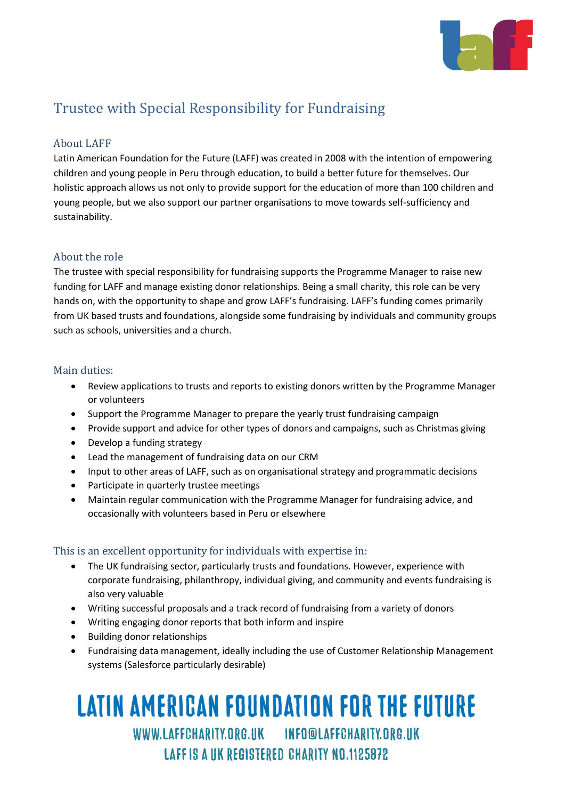

# Trustee with Special Responsibility for Fundraising

## About LAFF

Latin American Foundation for the Future (LAFF) was created in 2008 with the intention of empowering children and young people in Peru through education, to build a better future for themselves. Our holistic approach allows us not only to provide support for the education of more than 100 children and young people, but we also support our partner organisations to move towards self-sufficiency and sustainability.

### About the role

The trustee with special responsibility for fundraising supports the Programme Manager to raise new funding for LAFF and manage existing donor relationships. Being a small charity, this role can be very hands on, with the opportunity to shape and grow LAFF's fundraising. LAFF's funding comes primarily from UK based trusts and foundations, alongside some fundraising by individuals and community groups such as schools, universities and a church.

#### Main duties:

- Review applications to trusts and reports to existing donors written by the Programme Manager or volunteers
- Support the Programme Manager to prepare the yearly trust fundraising campaign
- Provide support and advice for other types of donors and campaigns, such as Christmas giving
- Develop a funding strategy
- Lead the management of fundraising data on our CRM
- Input to other areas of LAFF, such as on organisational strategy and programmatic decisions
- Participate in quarterly trustee meetings
- Maintain regular communication with the Programme Manager for fundraising advice, and occasionally with volunteers based in Peru or elsewhere

### This is an excellent opportunity for individuals with expertise in:

- The UK fundraising sector, particularly trusts and foundations. However, experience with corporate fundraising, philanthropy, individual giving, and community and events fundraising is also very valuable
- Writing successful proposals and a track record of fundraising from a variety of donors
- Writing engaging donor reports that both inform and inspire
- Building donor relationships
- Fundraising data management, ideally including the use of Customer Relationship Management systems (Salesforce particularly desirable)

# WWW.LAFFCHARITY.ORG.UK INFO@LAFFCHARITY.ORG.UK information and the control of the control of the control of the control of the control of the control of the <br>International control of the control of the control of the control of the control of the control of the control EKEU UNAKILI NU.IIGOOTG